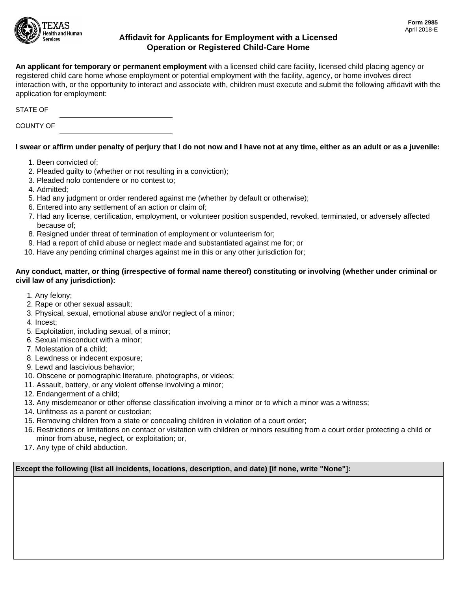

## **Affidavit for Applicants for Employment with a Licensed Operation or Registered Child-Care Home**

**An applicant for temporary or permanent employment** with a licensed child care facility, licensed child placing agency or registered child care home whose employment or potential employment with the facility, agency, or home involves direct interaction with, or the opportunity to interact and associate with, children must execute and submit the following affidavit with the application for employment:

STATE OF

COUNTY OF

## **I swear or affirm under penalty of perjury that I do not now and I have not at any time, either as an adult or as a juvenile:**

- 1. Been convicted of;
- 2. Pleaded guilty to (whether or not resulting in a conviction);
- 3. Pleaded nolo contendere or no contest to;
- 4. Admitted;
- 5. Had any judgment or order rendered against me (whether by default or otherwise);
- 6. Entered into any settlement of an action or claim of;
- 7. Had any license, certification, employment, or volunteer position suspended, revoked, terminated, or adversely affected because of;
- 8. Resigned under threat of termination of employment or volunteerism for;
- 9. Had a report of child abuse or neglect made and substantiated against me for; or
- 10. Have any pending criminal charges against me in this or any other jurisdiction for;

## **Any conduct, matter, or thing (irrespective of formal name thereof) constituting or involving (whether under criminal or civil law of any jurisdiction):**

- 1. Any felony;
- 2. Rape or other sexual assault;
- 3. Physical, sexual, emotional abuse and/or neglect of a minor;
- 4. Incest;
- 5. Exploitation, including sexual, of a minor;
- 6. Sexual misconduct with a minor;
- 7. Molestation of a child;
- 8. Lewdness or indecent exposure;
- 9. Lewd and lascivious behavior;
- 10. Obscene or pornographic literature, photographs, or videos;
- 11. Assault, battery, or any violent offense involving a minor;
- 12. Endangerment of a child;
- 13. Any misdemeanor or other offense classification involving a minor or to which a minor was a witness;
- 14. Unfitness as a parent or custodian;
- 15. Removing children from a state or concealing children in violation of a court order;
- 16. Restrictions or limitations on contact or visitation with children or minors resulting from a court order protecting a child or minor from abuse, neglect, or exploitation; or,
- 17. Any type of child abduction.

**Except the following (list all incidents, locations, description, and date) [if none, write "None"]:**